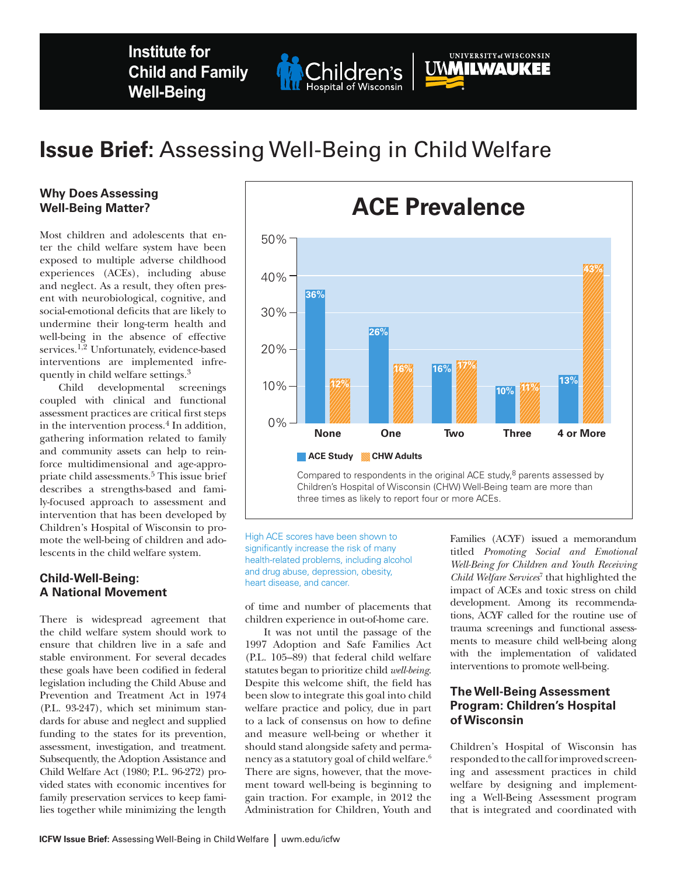**Institute for Child and Family Well-Being**

# **Issue Brief:** Assessing Well-Being in Child Welfare

Children's

Hospital of Wisconsin

#### **Why Does Assessing Well-Being Matter?**

Most children and adolescents that enter the child welfare system have been exposed to multiple adverse childhood experiences (ACEs), including abuse and neglect. As a result, they often present with neurobiological, cognitive, and social-emotional deficits that are likely to undermine their long-term health and well-being in the absence of effective services.<sup>1,2</sup> Unfortunately, evidence-based interventions are implemented infrequently in child welfare settings.3

Child developmental screenings coupled with clinical and functional assessment practices are critical first steps in the intervention process.4 In addition, gathering information related to family and community assets can help to reinforce multidimensional and age-appropriate child assessments.<sup>5</sup> This issue brief describes a strengths-based and family-focused approach to assessment and intervention that has been developed by Children's Hospital of Wisconsin to promote the well-being of children and adolescents in the child welfare system.

## **Child-Well-Being: A National Movement**

There is widespread agreement that the child welfare system should work to ensure that children live in a safe and stable environment. For several decades these goals have been codified in federal legislation including the Child Abuse and Prevention and Treatment Act in 1974 (P.L. 93-247), which set minimum standards for abuse and neglect and supplied funding to the states for its prevention, assessment, investigation, and treatment. Subsequently, the Adoption Assistance and Child Welfare Act (1980; P.L. 96-272) provided states with economic incentives for family preservation services to keep families together while minimizing the length

**ACE Study CHW Adults 36% 26% 12% 16% 16% 17% 10% 11% 13%** Children's Hospital of Wisconsin (CHW) Well-Being team are more than three times as likely to report four or more ACEs.

High ACE scores have been shown to significantly increase the risk of many health-related problems, including alcohol and drug abuse, depression, obesity, heart disease, and cancer.

of time and number of placements that children experience in out-of-home care.

It was not until the passage of the 1997 Adoption and Safe Families Act (P.L. 105–89) that federal child welfare statutes began to prioritize child *well-being*. Despite this welcome shift, the field has been slow to integrate this goal into child welfare practice and policy, due in part to a lack of consensus on how to define and measure well-being or whether it should stand alongside safety and permanency as a statutory goal of child welfare.6 There are signs, however, that the movement toward well-being is beginning to gain traction. For example, in 2012 the Administration for Children, Youth and

Families (ACYF) issued a memorandum titled *Promoting Social and Emotional Well-Being for Children and Youth Receiving Child Welfare Services*<sup>7</sup> that highlighted the impact of ACEs and toxic stress on child development. Among its recommendations, ACYF called for the routine use of trauma screenings and functional assessments to measure child well-being along with the implementation of validated interventions to promote well-being.

## **The Well-Being Assessment Program: Children's Hospital of Wisconsin**

Children's Hospital of Wisconsin has responded to the call for improved screening and assessment practices in child welfare by designing and implementing a Well-Being Assessment program that is integrated and coordinated with



UNIVERSITY of WISCONSIN

**UMMILWAUKEE**